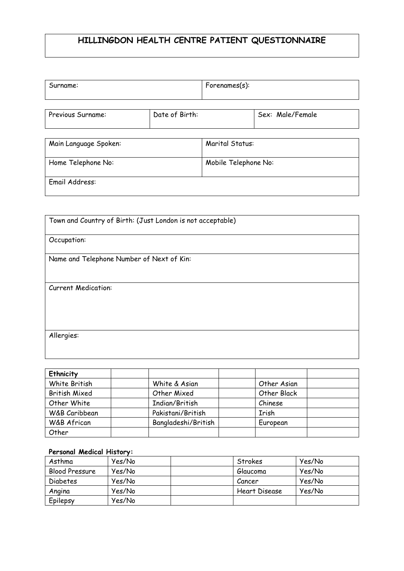## **HILLINGDON HEALTH CENTRE PATIENT QUESTIONNAIRE**

| Surname:              |                | For enames(s):       |                  |  |
|-----------------------|----------------|----------------------|------------------|--|
|                       |                |                      |                  |  |
| Previous Surname:     | Date of Birth: |                      | Sex: Male/Female |  |
| Main Language Spoken: |                | Marital Status:      |                  |  |
| Home Telephone No:    |                | Mobile Telephone No: |                  |  |

| Town and Country of Birth: (Just London is not acceptable) |
|------------------------------------------------------------|
|                                                            |
|                                                            |
| Occupation:                                                |
|                                                            |
| Name and Telephone Number of Next of Kin:                  |
|                                                            |
|                                                            |
|                                                            |
| <b>Current Medication:</b>                                 |
|                                                            |
|                                                            |
|                                                            |
|                                                            |
|                                                            |
|                                                            |
| Allergies:                                                 |
|                                                            |
|                                                            |
|                                                            |

| <b>Ethnicity</b>     |                     |             |  |
|----------------------|---------------------|-------------|--|
| White British        | White & Asian       | Other Asian |  |
| <b>British Mixed</b> | Other Mixed         | Other Black |  |
| Other White          | Indian/British      | Chinese     |  |
| W&B Caribbean        | Pakistani/British   | Irish       |  |
| W&B African          | Bangladeshi/British | European    |  |
| Other                |                     |             |  |

## **Personal Medical History:**

Email Address:

| Asthma         | Yes/No | Strokes       | Yes/No |
|----------------|--------|---------------|--------|
| Blood Pressure | Yes/No | Glaucoma      | Yes/No |
| Diabetes       | Yes/No | Cancer        | Yes/No |
| Angina         | Yes/No | Heart Disease | Yes/No |
| Epilepsy       | Yes/No |               |        |